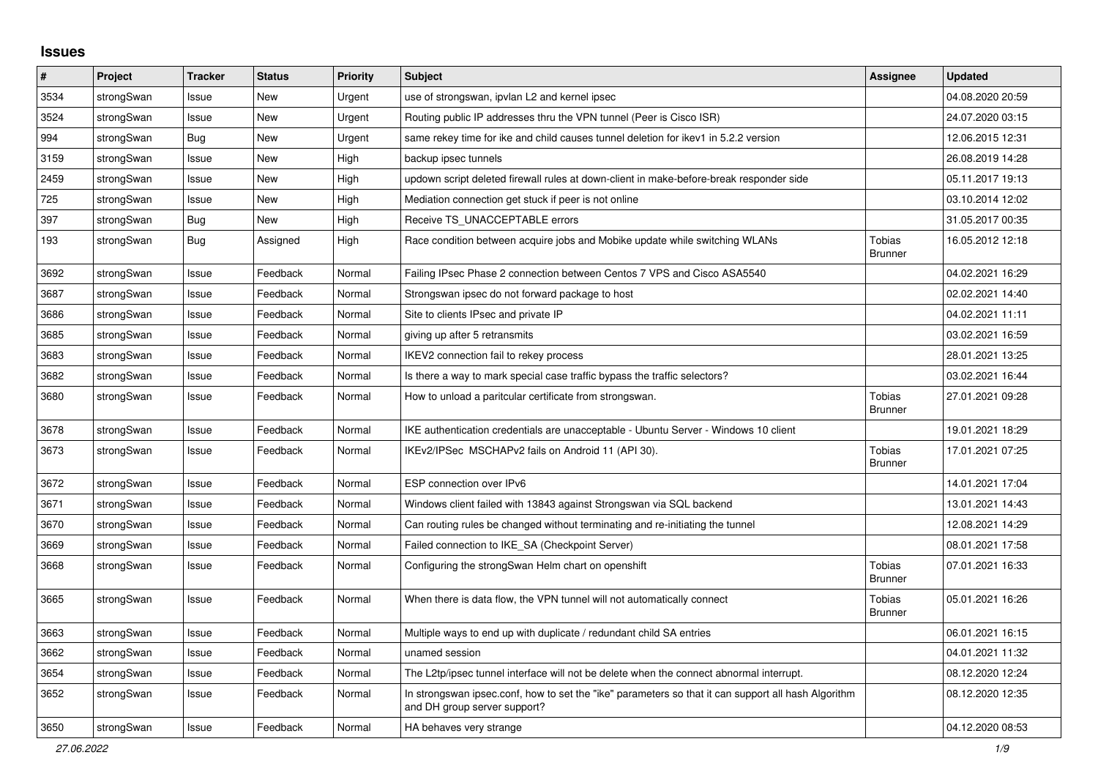## **Issues**

| ∦    | Project    | <b>Tracker</b> | <b>Status</b> | <b>Priority</b> | <b>Subject</b>                                                                                                                      | Assignee                        | <b>Updated</b>   |
|------|------------|----------------|---------------|-----------------|-------------------------------------------------------------------------------------------------------------------------------------|---------------------------------|------------------|
| 3534 | strongSwan | Issue          | <b>New</b>    | Urgent          | use of strongswan, ipvlan L2 and kernel ipsec                                                                                       |                                 | 04.08.2020 20:59 |
| 3524 | strongSwan | Issue          | <b>New</b>    | Urgent          | Routing public IP addresses thru the VPN tunnel (Peer is Cisco ISR)                                                                 |                                 | 24.07.2020 03:15 |
| 994  | strongSwan | Bug            | New           | Urgent          | same rekey time for ike and child causes tunnel deletion for ikev1 in 5.2.2 version                                                 |                                 | 12.06.2015 12:31 |
| 3159 | strongSwan | Issue          | New           | High            | backup ipsec tunnels                                                                                                                |                                 | 26.08.2019 14:28 |
| 2459 | strongSwan | Issue          | <b>New</b>    | High            | updown script deleted firewall rules at down-client in make-before-break responder side                                             |                                 | 05.11.2017 19:13 |
| 725  | strongSwan | Issue          | New           | High            | Mediation connection get stuck if peer is not online                                                                                |                                 | 03.10.2014 12:02 |
| 397  | strongSwan | Bug            | New           | High            | Receive TS UNACCEPTABLE errors                                                                                                      |                                 | 31.05.2017 00:35 |
| 193  | strongSwan | Bug            | Assigned      | High            | Race condition between acquire jobs and Mobike update while switching WLANs                                                         | <b>Tobias</b><br><b>Brunner</b> | 16.05.2012 12:18 |
| 3692 | strongSwan | Issue          | Feedback      | Normal          | Failing IPsec Phase 2 connection between Centos 7 VPS and Cisco ASA5540                                                             |                                 | 04.02.2021 16:29 |
| 3687 | strongSwan | Issue          | Feedback      | Normal          | Strongswan ipsec do not forward package to host                                                                                     |                                 | 02.02.2021 14:40 |
| 3686 | strongSwan | Issue          | Feedback      | Normal          | Site to clients IPsec and private IP                                                                                                |                                 | 04.02.2021 11:11 |
| 3685 | strongSwan | Issue          | Feedback      | Normal          | giving up after 5 retransmits                                                                                                       |                                 | 03.02.2021 16:59 |
| 3683 | strongSwan | Issue          | Feedback      | Normal          | IKEV2 connection fail to rekey process                                                                                              |                                 | 28.01.2021 13:25 |
| 3682 | strongSwan | Issue          | Feedback      | Normal          | Is there a way to mark special case traffic bypass the traffic selectors?                                                           |                                 | 03.02.2021 16:44 |
| 3680 | strongSwan | Issue          | Feedback      | Normal          | How to unload a paritcular certificate from strongswan.                                                                             | <b>Tobias</b><br><b>Brunner</b> | 27.01.2021 09:28 |
| 3678 | strongSwan | Issue          | Feedback      | Normal          | IKE authentication credentials are unacceptable - Ubuntu Server - Windows 10 client                                                 |                                 | 19.01.2021 18:29 |
| 3673 | strongSwan | Issue          | Feedback      | Normal          | IKEv2/IPSec MSCHAPv2 fails on Android 11 (API 30).                                                                                  | <b>Tobias</b><br><b>Brunner</b> | 17.01.2021 07:25 |
| 3672 | strongSwan | Issue          | Feedback      | Normal          | ESP connection over IPv6                                                                                                            |                                 | 14.01.2021 17:04 |
| 3671 | strongSwan | Issue          | Feedback      | Normal          | Windows client failed with 13843 against Strongswan via SQL backend                                                                 |                                 | 13.01.2021 14:43 |
| 3670 | strongSwan | Issue          | Feedback      | Normal          | Can routing rules be changed without terminating and re-initiating the tunnel                                                       |                                 | 12.08.2021 14:29 |
| 3669 | strongSwan | Issue          | Feedback      | Normal          | Failed connection to IKE_SA (Checkpoint Server)                                                                                     |                                 | 08.01.2021 17:58 |
| 3668 | strongSwan | Issue          | Feedback      | Normal          | Configuring the strongSwan Helm chart on openshift                                                                                  | <b>Tobias</b><br><b>Brunner</b> | 07.01.2021 16:33 |
| 3665 | strongSwan | Issue          | Feedback      | Normal          | When there is data flow, the VPN tunnel will not automatically connect                                                              | Tobias<br><b>Brunner</b>        | 05.01.2021 16:26 |
| 3663 | strongSwan | Issue          | Feedback      | Normal          | Multiple ways to end up with duplicate / redundant child SA entries                                                                 |                                 | 06.01.2021 16:15 |
| 3662 | strongSwan | Issue          | Feedback      | Normal          | unamed session                                                                                                                      |                                 | 04.01.2021 11:32 |
| 3654 | strongSwan | Issue          | Feedback      | Normal          | The L2tp/ipsec tunnel interface will not be delete when the connect abnormal interrupt.                                             |                                 | 08.12.2020 12:24 |
| 3652 | strongSwan | Issue          | Feedback      | Normal          | In strongswan ipsec.conf, how to set the "ike" parameters so that it can support all hash Algorithm<br>and DH group server support? |                                 | 08.12.2020 12:35 |
| 3650 | strongSwan | Issue          | Feedback      | Normal          | HA behaves very strange                                                                                                             |                                 | 04.12.2020 08:53 |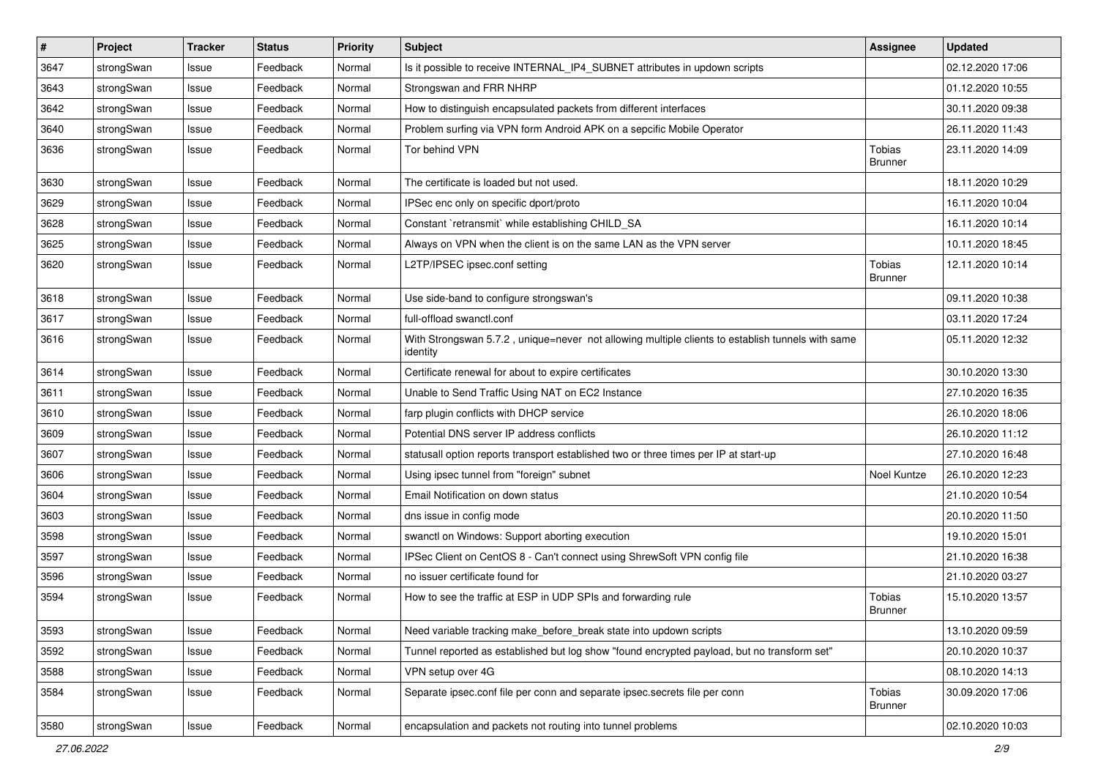| $\vert$ # | Project    | <b>Tracker</b> | <b>Status</b> | <b>Priority</b> | Subject                                                                                                      | <b>Assignee</b>                 | <b>Updated</b>   |
|-----------|------------|----------------|---------------|-----------------|--------------------------------------------------------------------------------------------------------------|---------------------------------|------------------|
| 3647      | strongSwan | Issue          | Feedback      | Normal          | Is it possible to receive INTERNAL_IP4_SUBNET attributes in updown scripts                                   |                                 | 02.12.2020 17:06 |
| 3643      | strongSwan | Issue          | Feedback      | Normal          | Strongswan and FRR NHRP                                                                                      |                                 | 01.12.2020 10:55 |
| 3642      | strongSwan | Issue          | Feedback      | Normal          | How to distinguish encapsulated packets from different interfaces                                            |                                 | 30.11.2020 09:38 |
| 3640      | strongSwan | Issue          | Feedback      | Normal          | Problem surfing via VPN form Android APK on a sepcific Mobile Operator                                       |                                 | 26.11.2020 11:43 |
| 3636      | strongSwan | Issue          | Feedback      | Normal          | Tor behind VPN                                                                                               | <b>Tobias</b><br><b>Brunner</b> | 23.11.2020 14:09 |
| 3630      | strongSwan | Issue          | Feedback      | Normal          | The certificate is loaded but not used.                                                                      |                                 | 18.11.2020 10:29 |
| 3629      | strongSwan | Issue          | Feedback      | Normal          | IPSec enc only on specific dport/proto                                                                       |                                 | 16.11.2020 10:04 |
| 3628      | strongSwan | Issue          | Feedback      | Normal          | Constant `retransmit` while establishing CHILD_SA                                                            |                                 | 16.11.2020 10:14 |
| 3625      | strongSwan | Issue          | Feedback      | Normal          | Always on VPN when the client is on the same LAN as the VPN server                                           |                                 | 10.11.2020 18:45 |
| 3620      | strongSwan | Issue          | Feedback      | Normal          | L2TP/IPSEC ipsec.conf setting                                                                                | <b>Tobias</b><br><b>Brunner</b> | 12.11.2020 10:14 |
| 3618      | strongSwan | Issue          | Feedback      | Normal          | Use side-band to configure strongswan's                                                                      |                                 | 09.11.2020 10:38 |
| 3617      | strongSwan | Issue          | Feedback      | Normal          | full-offload swanctl.conf                                                                                    |                                 | 03.11.2020 17:24 |
| 3616      | strongSwan | Issue          | Feedback      | Normal          | With Strongswan 5.7.2, unique=never not allowing multiple clients to establish tunnels with same<br>identity |                                 | 05.11.2020 12:32 |
| 3614      | strongSwan | Issue          | Feedback      | Normal          | Certificate renewal for about to expire certificates                                                         |                                 | 30.10.2020 13:30 |
| 3611      | strongSwan | Issue          | Feedback      | Normal          | Unable to Send Traffic Using NAT on EC2 Instance                                                             |                                 | 27.10.2020 16:35 |
| 3610      | strongSwan | Issue          | Feedback      | Normal          | farp plugin conflicts with DHCP service                                                                      |                                 | 26.10.2020 18:06 |
| 3609      | strongSwan | Issue          | Feedback      | Normal          | Potential DNS server IP address conflicts                                                                    |                                 | 26.10.2020 11:12 |
| 3607      | strongSwan | Issue          | Feedback      | Normal          | statusall option reports transport established two or three times per IP at start-up                         |                                 | 27.10.2020 16:48 |
| 3606      | strongSwan | Issue          | Feedback      | Normal          | Using ipsec tunnel from "foreign" subnet                                                                     | Noel Kuntze                     | 26.10.2020 12:23 |
| 3604      | strongSwan | Issue          | Feedback      | Normal          | Email Notification on down status                                                                            |                                 | 21.10.2020 10:54 |
| 3603      | strongSwan | Issue          | Feedback      | Normal          | dns issue in config mode                                                                                     |                                 | 20.10.2020 11:50 |
| 3598      | strongSwan | Issue          | Feedback      | Normal          | swanctl on Windows: Support aborting execution                                                               |                                 | 19.10.2020 15:01 |
| 3597      | strongSwan | Issue          | Feedback      | Normal          | IPSec Client on CentOS 8 - Can't connect using ShrewSoft VPN config file                                     |                                 | 21.10.2020 16:38 |
| 3596      | strongSwan | Issue          | Feedback      | Normal          | no issuer certificate found for                                                                              |                                 | 21.10.2020 03:27 |
| 3594      | strongSwan | Issue          | Feedback      | Normal          | How to see the traffic at ESP in UDP SPIs and forwarding rule                                                | Tobias<br><b>Brunner</b>        | 15.10.2020 13:57 |
| 3593      | strongSwan | Issue          | Feedback      | Normal          | Need variable tracking make_before_break state into updown scripts                                           |                                 | 13.10.2020 09:59 |
| 3592      | strongSwan | Issue          | Feedback      | Normal          | Tunnel reported as established but log show "found encrypted payload, but no transform set"                  |                                 | 20.10.2020 10:37 |
| 3588      | strongSwan | Issue          | Feedback      | Normal          | VPN setup over 4G                                                                                            |                                 | 08.10.2020 14:13 |
| 3584      | strongSwan | Issue          | Feedback      | Normal          | Separate ipsec.conf file per conn and separate ipsec.secrets file per conn                                   | Tobias<br><b>Brunner</b>        | 30.09.2020 17:06 |
| 3580      | strongSwan | Issue          | Feedback      | Normal          | encapsulation and packets not routing into tunnel problems                                                   |                                 | 02.10.2020 10:03 |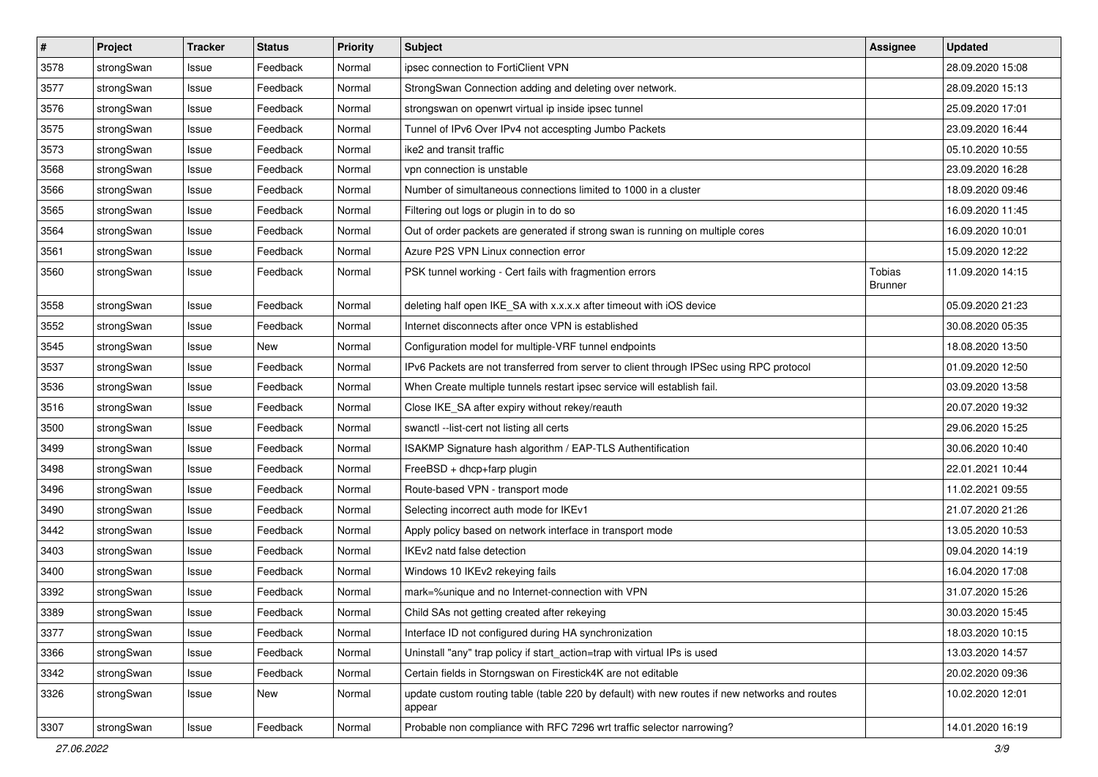| $\vert$ # | Project    | <b>Tracker</b> | <b>Status</b> | <b>Priority</b> | <b>Subject</b>                                                                                          | <b>Assignee</b>                 | <b>Updated</b>   |
|-----------|------------|----------------|---------------|-----------------|---------------------------------------------------------------------------------------------------------|---------------------------------|------------------|
| 3578      | strongSwan | Issue          | Feedback      | Normal          | ipsec connection to FortiClient VPN                                                                     |                                 | 28.09.2020 15:08 |
| 3577      | strongSwan | Issue          | Feedback      | Normal          | StrongSwan Connection adding and deleting over network.                                                 |                                 | 28.09.2020 15:13 |
| 3576      | strongSwan | Issue          | Feedback      | Normal          | strongswan on openwrt virtual ip inside ipsec tunnel                                                    |                                 | 25.09.2020 17:01 |
| 3575      | strongSwan | Issue          | Feedback      | Normal          | Tunnel of IPv6 Over IPv4 not accespting Jumbo Packets                                                   |                                 | 23.09.2020 16:44 |
| 3573      | strongSwan | Issue          | Feedback      | Normal          | ike2 and transit traffic                                                                                |                                 | 05.10.2020 10:55 |
| 3568      | strongSwan | Issue          | Feedback      | Normal          | vpn connection is unstable                                                                              |                                 | 23.09.2020 16:28 |
| 3566      | strongSwan | Issue          | Feedback      | Normal          | Number of simultaneous connections limited to 1000 in a cluster                                         |                                 | 18.09.2020 09:46 |
| 3565      | strongSwan | Issue          | Feedback      | Normal          | Filtering out logs or plugin in to do so                                                                |                                 | 16.09.2020 11:45 |
| 3564      | strongSwan | Issue          | Feedback      | Normal          | Out of order packets are generated if strong swan is running on multiple cores                          |                                 | 16.09.2020 10:01 |
| 3561      | strongSwan | Issue          | Feedback      | Normal          | Azure P2S VPN Linux connection error                                                                    |                                 | 15.09.2020 12:22 |
| 3560      | strongSwan | Issue          | Feedback      | Normal          | PSK tunnel working - Cert fails with fragmention errors                                                 | <b>Tobias</b><br><b>Brunner</b> | 11.09.2020 14:15 |
| 3558      | strongSwan | Issue          | Feedback      | Normal          | deleting half open IKE_SA with x.x.x.x after timeout with iOS device                                    |                                 | 05.09.2020 21:23 |
| 3552      | strongSwan | Issue          | Feedback      | Normal          | Internet disconnects after once VPN is established                                                      |                                 | 30.08.2020 05:35 |
| 3545      | strongSwan | Issue          | New           | Normal          | Configuration model for multiple-VRF tunnel endpoints                                                   |                                 | 18.08.2020 13:50 |
| 3537      | strongSwan | Issue          | Feedback      | Normal          | IPv6 Packets are not transferred from server to client through IPSec using RPC protocol                 |                                 | 01.09.2020 12:50 |
| 3536      | strongSwan | Issue          | Feedback      | Normal          | When Create multiple tunnels restart ipsec service will establish fail.                                 |                                 | 03.09.2020 13:58 |
| 3516      | strongSwan | Issue          | Feedback      | Normal          | Close IKE_SA after expiry without rekey/reauth                                                          |                                 | 20.07.2020 19:32 |
| 3500      | strongSwan | Issue          | Feedback      | Normal          | swanctl --list-cert not listing all certs                                                               |                                 | 29.06.2020 15:25 |
| 3499      | strongSwan | Issue          | Feedback      | Normal          | ISAKMP Signature hash algorithm / EAP-TLS Authentification                                              |                                 | 30.06.2020 10:40 |
| 3498      | strongSwan | Issue          | Feedback      | Normal          | FreeBSD + dhcp+farp plugin                                                                              |                                 | 22.01.2021 10:44 |
| 3496      | strongSwan | Issue          | Feedback      | Normal          | Route-based VPN - transport mode                                                                        |                                 | 11.02.2021 09:55 |
| 3490      | strongSwan | Issue          | Feedback      | Normal          | Selecting incorrect auth mode for IKEv1                                                                 |                                 | 21.07.2020 21:26 |
| 3442      | strongSwan | Issue          | Feedback      | Normal          | Apply policy based on network interface in transport mode                                               |                                 | 13.05.2020 10:53 |
| 3403      | strongSwan | Issue          | Feedback      | Normal          | IKEv2 natd false detection                                                                              |                                 | 09.04.2020 14:19 |
| 3400      | strongSwan | Issue          | Feedback      | Normal          | Windows 10 IKEv2 rekeying fails                                                                         |                                 | 16.04.2020 17:08 |
| 3392      | strongSwan | Issue          | Feedback      | Normal          | mark=%unique and no Internet-connection with VPN                                                        |                                 | 31.07.2020 15:26 |
| 3389      | strongSwan | Issue          | Feedback      | Normal          | Child SAs not getting created after rekeying                                                            |                                 | 30.03.2020 15:45 |
| 3377      | strongSwan | Issue          | Feedback      | Normal          | Interface ID not configured during HA synchronization                                                   |                                 | 18.03.2020 10:15 |
| 3366      | strongSwan | Issue          | Feedback      | Normal          | Uninstall "any" trap policy if start_action=trap with virtual IPs is used                               |                                 | 13.03.2020 14:57 |
| 3342      | strongSwan | Issue          | Feedback      | Normal          | Certain fields in Storngswan on Firestick4K are not editable                                            |                                 | 20.02.2020 09:36 |
| 3326      | strongSwan | Issue          | New           | Normal          | update custom routing table (table 220 by default) with new routes if new networks and routes<br>appear |                                 | 10.02.2020 12:01 |
| 3307      | strongSwan | Issue          | Feedback      | Normal          | Probable non compliance with RFC 7296 wrt traffic selector narrowing?                                   |                                 | 14.01.2020 16:19 |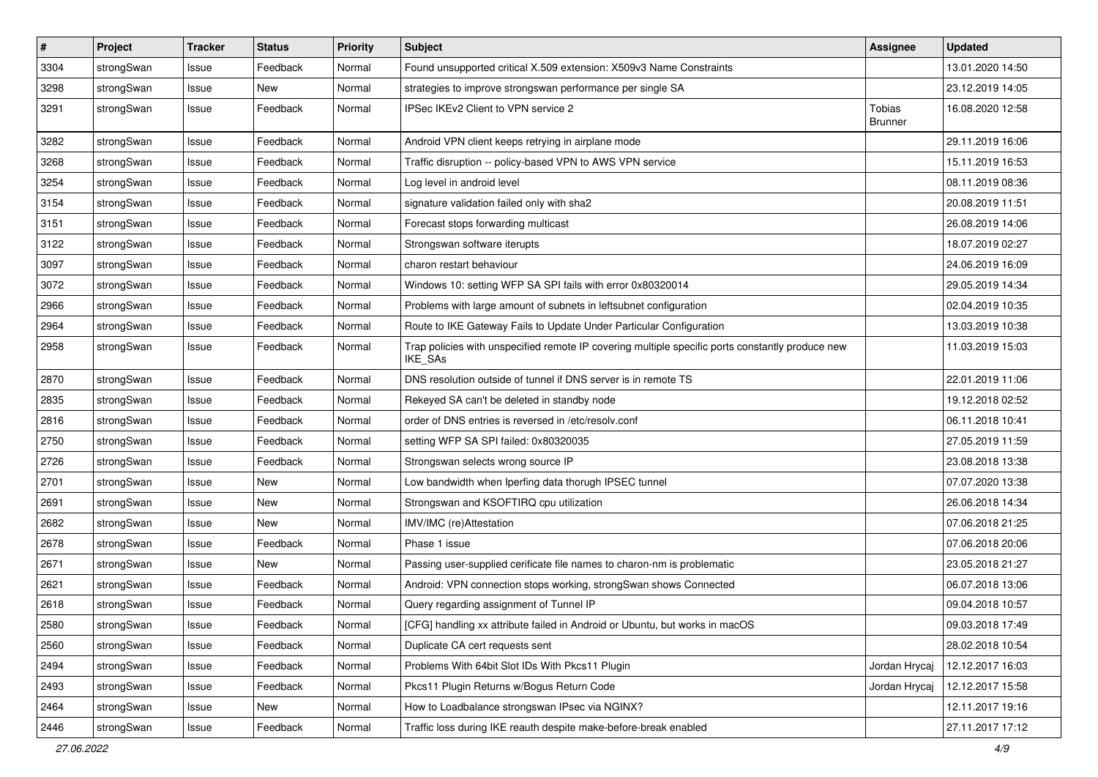| $\pmb{\#}$ | Project    | <b>Tracker</b> | <b>Status</b> | <b>Priority</b> | <b>Subject</b>                                                                                              | <b>Assignee</b>                 | <b>Updated</b>   |
|------------|------------|----------------|---------------|-----------------|-------------------------------------------------------------------------------------------------------------|---------------------------------|------------------|
| 3304       | strongSwan | Issue          | Feedback      | Normal          | Found unsupported critical X.509 extension: X509v3 Name Constraints                                         |                                 | 13.01.2020 14:50 |
| 3298       | strongSwan | Issue          | New           | Normal          | strategies to improve strongswan performance per single SA                                                  |                                 | 23.12.2019 14:05 |
| 3291       | strongSwan | Issue          | Feedback      | Normal          | IPSec IKEv2 Client to VPN service 2                                                                         | <b>Tobias</b><br><b>Brunner</b> | 16.08.2020 12:58 |
| 3282       | strongSwan | Issue          | Feedback      | Normal          | Android VPN client keeps retrying in airplane mode                                                          |                                 | 29.11.2019 16:06 |
| 3268       | strongSwan | Issue          | Feedback      | Normal          | Traffic disruption -- policy-based VPN to AWS VPN service                                                   |                                 | 15.11.2019 16:53 |
| 3254       | strongSwan | Issue          | Feedback      | Normal          | Log level in android level                                                                                  |                                 | 08.11.2019 08:36 |
| 3154       | strongSwan | Issue          | Feedback      | Normal          | signature validation failed only with sha2                                                                  |                                 | 20.08.2019 11:51 |
| 3151       | strongSwan | Issue          | Feedback      | Normal          | Forecast stops forwarding multicast                                                                         |                                 | 26.08.2019 14:06 |
| 3122       | strongSwan | Issue          | Feedback      | Normal          | Strongswan software iterupts                                                                                |                                 | 18.07.2019 02:27 |
| 3097       | strongSwan | Issue          | Feedback      | Normal          | charon restart behaviour                                                                                    |                                 | 24.06.2019 16:09 |
| 3072       | strongSwan | Issue          | Feedback      | Normal          | Windows 10: setting WFP SA SPI fails with error 0x80320014                                                  |                                 | 29.05.2019 14:34 |
| 2966       | strongSwan | Issue          | Feedback      | Normal          | Problems with large amount of subnets in leftsubnet configuration                                           |                                 | 02.04.2019 10:35 |
| 2964       | strongSwan | Issue          | Feedback      | Normal          | Route to IKE Gateway Fails to Update Under Particular Configuration                                         |                                 | 13.03.2019 10:38 |
| 2958       | strongSwan | Issue          | Feedback      | Normal          | Trap policies with unspecified remote IP covering multiple specific ports constantly produce new<br>IKE_SAs |                                 | 11.03.2019 15:03 |
| 2870       | strongSwan | Issue          | Feedback      | Normal          | DNS resolution outside of tunnel if DNS server is in remote TS                                              |                                 | 22.01.2019 11:06 |
| 2835       | strongSwan | Issue          | Feedback      | Normal          | Rekeyed SA can't be deleted in standby node                                                                 |                                 | 19.12.2018 02:52 |
| 2816       | strongSwan | Issue          | Feedback      | Normal          | order of DNS entries is reversed in /etc/resolv.conf                                                        |                                 | 06.11.2018 10:41 |
| 2750       | strongSwan | Issue          | Feedback      | Normal          | setting WFP SA SPI failed: 0x80320035                                                                       |                                 | 27.05.2019 11:59 |
| 2726       | strongSwan | Issue          | Feedback      | Normal          | Strongswan selects wrong source IP                                                                          |                                 | 23.08.2018 13:38 |
| 2701       | strongSwan | Issue          | New           | Normal          | Low bandwidth when Iperfing data thorugh IPSEC tunnel                                                       |                                 | 07.07.2020 13:38 |
| 2691       | strongSwan | Issue          | New           | Normal          | Strongswan and KSOFTIRQ cpu utilization                                                                     |                                 | 26.06.2018 14:34 |
| 2682       | strongSwan | Issue          | New           | Normal          | IMV/IMC (re)Attestation                                                                                     |                                 | 07.06.2018 21:25 |
| 2678       | strongSwan | Issue          | Feedback      | Normal          | Phase 1 issue                                                                                               |                                 | 07.06.2018 20:06 |
| 2671       | strongSwan | Issue          | New           | Normal          | Passing user-supplied cerificate file names to charon-nm is problematic                                     |                                 | 23.05.2018 21:27 |
| 2621       | strongSwan | Issue          | Feedback      | Normal          | Android: VPN connection stops working, strongSwan shows Connected                                           |                                 | 06.07.2018 13:06 |
| 2618       | strongSwan | Issue          | Feedback      | Normal          | Query regarding assignment of Tunnel IP                                                                     |                                 | 09.04.2018 10:57 |
| 2580       | strongSwan | Issue          | Feedback      | Normal          | [CFG] handling xx attribute failed in Android or Ubuntu, but works in macOS                                 |                                 | 09.03.2018 17:49 |
| 2560       | strongSwan | Issue          | Feedback      | Normal          | Duplicate CA cert requests sent                                                                             |                                 | 28.02.2018 10:54 |
| 2494       | strongSwan | Issue          | Feedback      | Normal          | Problems With 64bit Slot IDs With Pkcs11 Plugin                                                             | Jordan Hrycaj                   | 12.12.2017 16:03 |
| 2493       | strongSwan | Issue          | Feedback      | Normal          | Pkcs11 Plugin Returns w/Bogus Return Code                                                                   | Jordan Hrycaj                   | 12.12.2017 15:58 |
| 2464       | strongSwan | Issue          | New           | Normal          | How to Loadbalance strongswan IPsec via NGINX?                                                              |                                 | 12.11.2017 19:16 |
| 2446       | strongSwan | Issue          | Feedback      | Normal          | Traffic loss during IKE reauth despite make-before-break enabled                                            |                                 | 27.11.2017 17:12 |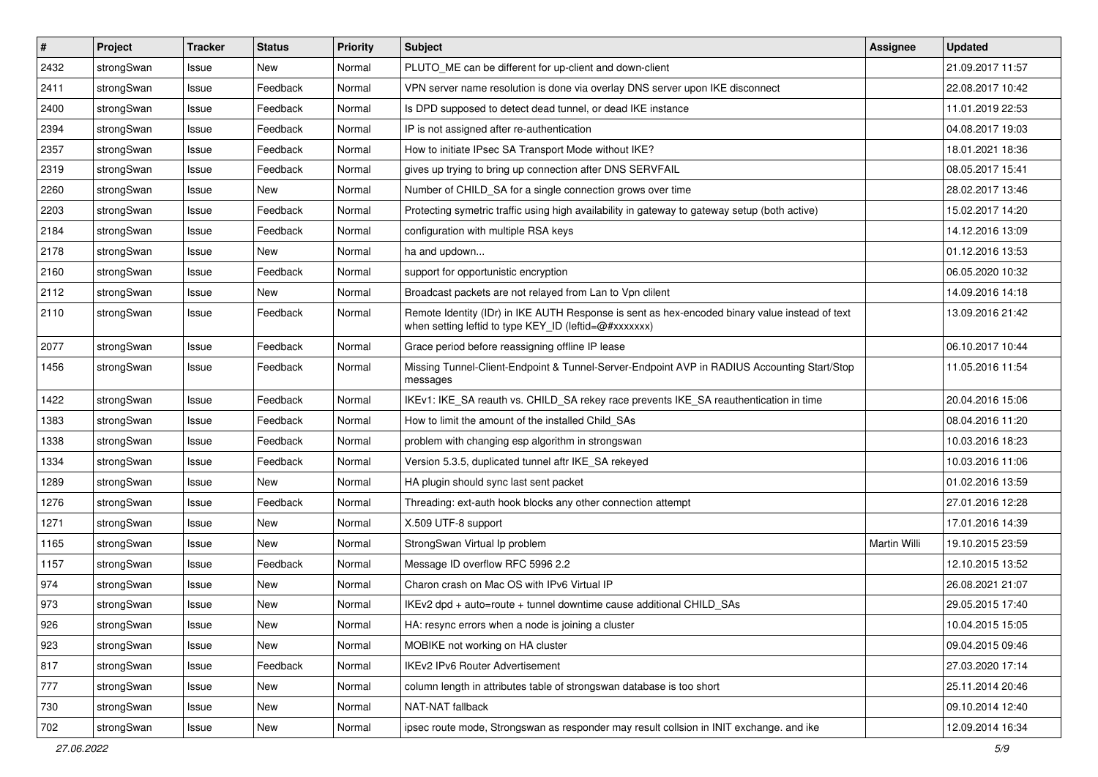| $\sharp$ | Project    | <b>Tracker</b> | <b>Status</b> | <b>Priority</b> | <b>Subject</b>                                                                                                                                          | Assignee     | <b>Updated</b>   |
|----------|------------|----------------|---------------|-----------------|---------------------------------------------------------------------------------------------------------------------------------------------------------|--------------|------------------|
| 2432     | strongSwan | Issue          | New           | Normal          | PLUTO ME can be different for up-client and down-client                                                                                                 |              | 21.09.2017 11:57 |
| 2411     | strongSwan | Issue          | Feedback      | Normal          | VPN server name resolution is done via overlay DNS server upon IKE disconnect                                                                           |              | 22.08.2017 10:42 |
| 2400     | strongSwan | Issue          | Feedback      | Normal          | Is DPD supposed to detect dead tunnel, or dead IKE instance                                                                                             |              | 11.01.2019 22:53 |
| 2394     | strongSwan | Issue          | Feedback      | Normal          | IP is not assigned after re-authentication                                                                                                              |              | 04.08.2017 19:03 |
| 2357     | strongSwan | Issue          | Feedback      | Normal          | How to initiate IPsec SA Transport Mode without IKE?                                                                                                    |              | 18.01.2021 18:36 |
| 2319     | strongSwan | Issue          | Feedback      | Normal          | gives up trying to bring up connection after DNS SERVFAIL                                                                                               |              | 08.05.2017 15:41 |
| 2260     | strongSwan | Issue          | New           | Normal          | Number of CHILD_SA for a single connection grows over time                                                                                              |              | 28.02.2017 13:46 |
| 2203     | strongSwan | Issue          | Feedback      | Normal          | Protecting symetric traffic using high availability in gateway to gateway setup (both active)                                                           |              | 15.02.2017 14:20 |
| 2184     | strongSwan | Issue          | Feedback      | Normal          | configuration with multiple RSA keys                                                                                                                    |              | 14.12.2016 13:09 |
| 2178     | strongSwan | Issue          | New           | Normal          | ha and updown                                                                                                                                           |              | 01.12.2016 13:53 |
| 2160     | strongSwan | Issue          | Feedback      | Normal          | support for opportunistic encryption                                                                                                                    |              | 06.05.2020 10:32 |
| 2112     | strongSwan | Issue          | <b>New</b>    | Normal          | Broadcast packets are not relayed from Lan to Vpn clilent                                                                                               |              | 14.09.2016 14:18 |
| 2110     | strongSwan | Issue          | Feedback      | Normal          | Remote Identity (IDr) in IKE AUTH Response is sent as hex-encoded binary value instead of text<br>when setting leftid to type KEY_ID (leftid=@#xxxxxxx) |              | 13.09.2016 21:42 |
| 2077     | strongSwan | Issue          | Feedback      | Normal          | Grace period before reassigning offline IP lease                                                                                                        |              | 06.10.2017 10:44 |
| 1456     | strongSwan | Issue          | Feedback      | Normal          | Missing Tunnel-Client-Endpoint & Tunnel-Server-Endpoint AVP in RADIUS Accounting Start/Stop<br>messages                                                 |              | 11.05.2016 11:54 |
| 1422     | strongSwan | Issue          | Feedback      | Normal          | IKEv1: IKE_SA reauth vs. CHILD_SA rekey race prevents IKE_SA reauthentication in time                                                                   |              | 20.04.2016 15:06 |
| 1383     | strongSwan | Issue          | Feedback      | Normal          | How to limit the amount of the installed Child_SAs                                                                                                      |              | 08.04.2016 11:20 |
| 1338     | strongSwan | Issue          | Feedback      | Normal          | problem with changing esp algorithm in strongswan                                                                                                       |              | 10.03.2016 18:23 |
| 1334     | strongSwan | Issue          | Feedback      | Normal          | Version 5.3.5, duplicated tunnel aftr IKE_SA rekeyed                                                                                                    |              | 10.03.2016 11:06 |
| 1289     | strongSwan | Issue          | New           | Normal          | HA plugin should sync last sent packet                                                                                                                  |              | 01.02.2016 13:59 |
| 1276     | strongSwan | Issue          | Feedback      | Normal          | Threading: ext-auth hook blocks any other connection attempt                                                                                            |              | 27.01.2016 12:28 |
| 1271     | strongSwan | Issue          | New           | Normal          | X.509 UTF-8 support                                                                                                                                     |              | 17.01.2016 14:39 |
| 1165     | strongSwan | Issue          | New           | Normal          | StrongSwan Virtual Ip problem                                                                                                                           | Martin Willi | 19.10.2015 23:59 |
| 1157     | strongSwan | Issue          | Feedback      | Normal          | Message ID overflow RFC 5996 2.2                                                                                                                        |              | 12.10.2015 13:52 |
| 974      | strongSwan | Issue          | New           | Normal          | Charon crash on Mac OS with IPv6 Virtual IP                                                                                                             |              | 26.08.2021 21:07 |
| 973      | strongSwan | Issue          | New           | Normal          | IKEv2 dpd + auto=route + tunnel downtime cause additional CHILD_SAs                                                                                     |              | 29.05.2015 17:40 |
| 926      | strongSwan | Issue          | New           | Normal          | HA: resync errors when a node is joining a cluster                                                                                                      |              | 10.04.2015 15:05 |
| 923      | strongSwan | Issue          | New           | Normal          | MOBIKE not working on HA cluster                                                                                                                        |              | 09.04.2015 09:46 |
| 817      | strongSwan | Issue          | Feedback      | Normal          | IKEv2 IPv6 Router Advertisement                                                                                                                         |              | 27.03.2020 17:14 |
| 777      | strongSwan | Issue          | New           | Normal          | column length in attributes table of strongswan database is too short                                                                                   |              | 25.11.2014 20:46 |
| 730      | strongSwan | Issue          | New           | Normal          | NAT-NAT fallback                                                                                                                                        |              | 09.10.2014 12:40 |
| 702      | strongSwan | Issue          | New           | Normal          | ipsec route mode, Strongswan as responder may result collsion in INIT exchange. and ike                                                                 |              | 12.09.2014 16:34 |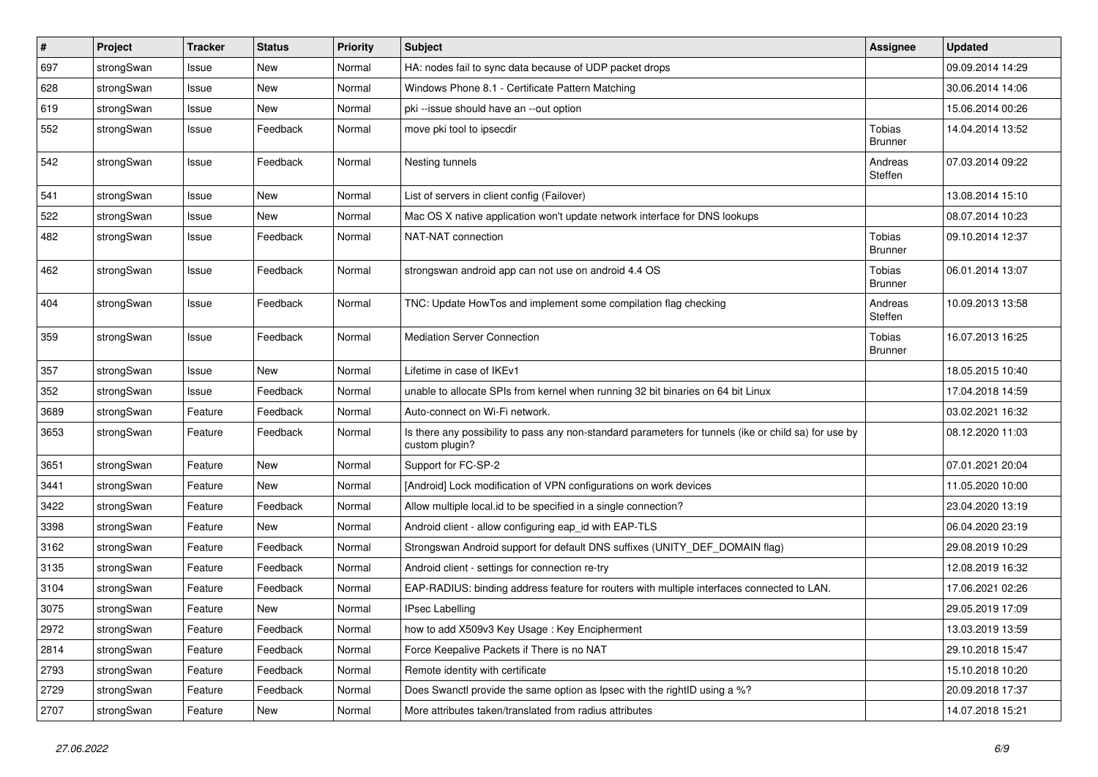| $\vert$ # | Project    | <b>Tracker</b> | <b>Status</b> | <b>Priority</b> | Subject                                                                                                                 | <b>Assignee</b>                 | <b>Updated</b>   |
|-----------|------------|----------------|---------------|-----------------|-------------------------------------------------------------------------------------------------------------------------|---------------------------------|------------------|
| 697       | strongSwan | Issue          | New           | Normal          | HA: nodes fail to sync data because of UDP packet drops                                                                 |                                 | 09.09.2014 14:29 |
| 628       | strongSwan | Issue          | <b>New</b>    | Normal          | Windows Phone 8.1 - Certificate Pattern Matching                                                                        |                                 | 30.06.2014 14:06 |
| 619       | strongSwan | Issue          | New           | Normal          | pki --issue should have an --out option                                                                                 |                                 | 15.06.2014 00:26 |
| 552       | strongSwan | Issue          | Feedback      | Normal          | move pki tool to ipsecdir                                                                                               | <b>Tobias</b><br>Brunner        | 14.04.2014 13:52 |
| 542       | strongSwan | Issue          | Feedback      | Normal          | Nesting tunnels                                                                                                         | Andreas<br>Steffen              | 07.03.2014 09:22 |
| 541       | strongSwan | Issue          | <b>New</b>    | Normal          | List of servers in client config (Failover)                                                                             |                                 | 13.08.2014 15:10 |
| 522       | strongSwan | Issue          | New           | Normal          | Mac OS X native application won't update network interface for DNS lookups                                              |                                 | 08.07.2014 10:23 |
| 482       | strongSwan | Issue          | Feedback      | Normal          | NAT-NAT connection                                                                                                      | <b>Tobias</b><br><b>Brunner</b> | 09.10.2014 12:37 |
| 462       | strongSwan | Issue          | Feedback      | Normal          | strongswan android app can not use on android 4.4 OS                                                                    | Tobias<br><b>Brunner</b>        | 06.01.2014 13:07 |
| 404       | strongSwan | Issue          | Feedback      | Normal          | TNC: Update HowTos and implement some compilation flag checking                                                         | Andreas<br>Steffen              | 10.09.2013 13:58 |
| 359       | strongSwan | Issue          | Feedback      | Normal          | <b>Mediation Server Connection</b>                                                                                      | Tobias<br><b>Brunner</b>        | 16.07.2013 16:25 |
| 357       | strongSwan | Issue          | <b>New</b>    | Normal          | Lifetime in case of IKEv1                                                                                               |                                 | 18.05.2015 10:40 |
| 352       | strongSwan | Issue          | Feedback      | Normal          | unable to allocate SPIs from kernel when running 32 bit binaries on 64 bit Linux                                        |                                 | 17.04.2018 14:59 |
| 3689      | strongSwan | Feature        | Feedback      | Normal          | Auto-connect on Wi-Fi network.                                                                                          |                                 | 03.02.2021 16:32 |
| 3653      | strongSwan | Feature        | Feedback      | Normal          | Is there any possibility to pass any non-standard parameters for tunnels (ike or child sa) for use by<br>custom plugin? |                                 | 08.12.2020 11:03 |
| 3651      | strongSwan | Feature        | <b>New</b>    | Normal          | Support for FC-SP-2                                                                                                     |                                 | 07.01.2021 20:04 |
| 3441      | strongSwan | Feature        | New           | Normal          | [Android] Lock modification of VPN configurations on work devices                                                       |                                 | 11.05.2020 10:00 |
| 3422      | strongSwan | Feature        | Feedback      | Normal          | Allow multiple local.id to be specified in a single connection?                                                         |                                 | 23.04.2020 13:19 |
| 3398      | strongSwan | Feature        | New           | Normal          | Android client - allow configuring eap_id with EAP-TLS                                                                  |                                 | 06.04.2020 23:19 |
| 3162      | strongSwan | Feature        | Feedback      | Normal          | Strongswan Android support for default DNS suffixes (UNITY_DEF_DOMAIN flag)                                             |                                 | 29.08.2019 10:29 |
| 3135      | strongSwan | Feature        | Feedback      | Normal          | Android client - settings for connection re-try                                                                         |                                 | 12.08.2019 16:32 |
| 3104      | strongSwan | Feature        | Feedback      | Normal          | EAP-RADIUS: binding address feature for routers with multiple interfaces connected to LAN.                              |                                 | 17.06.2021 02:26 |
| 3075      | strongSwan | Feature        | New           | Normal          | <b>IPsec Labelling</b>                                                                                                  |                                 | 29.05.2019 17:09 |
| 2972      | strongSwan | Feature        | Feedback      | Normal          | how to add X509v3 Key Usage: Key Encipherment                                                                           |                                 | 13.03.2019 13:59 |
| 2814      | strongSwan | Feature        | Feedback      | Normal          | Force Keepalive Packets if There is no NAT                                                                              |                                 | 29.10.2018 15:47 |
| 2793      | strongSwan | Feature        | Feedback      | Normal          | Remote identity with certificate                                                                                        |                                 | 15.10.2018 10:20 |
| 2729      | strongSwan | Feature        | Feedback      | Normal          | Does Swanctl provide the same option as Ipsec with the rightID using a %?                                               |                                 | 20.09.2018 17:37 |
| 2707      | strongSwan | Feature        | New           | Normal          | More attributes taken/translated from radius attributes                                                                 |                                 | 14.07.2018 15:21 |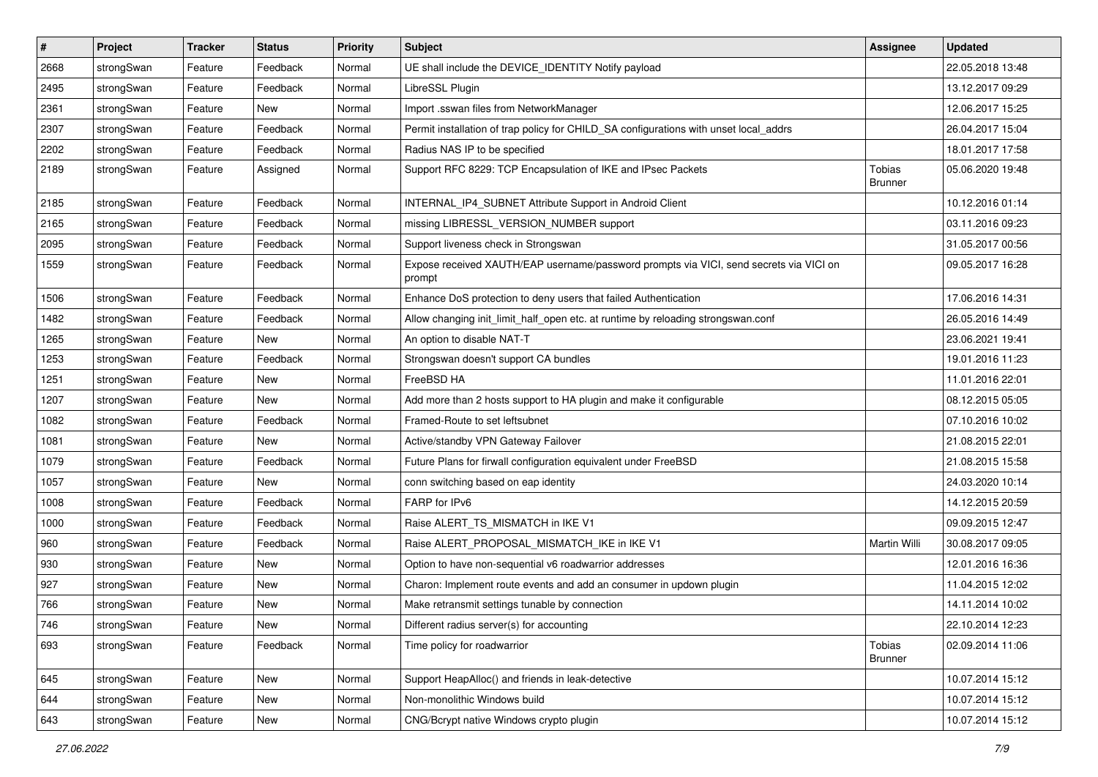| $\sharp$ | Project    | <b>Tracker</b> | <b>Status</b> | <b>Priority</b> | <b>Subject</b>                                                                                   | <b>Assignee</b>                 | <b>Updated</b>   |
|----------|------------|----------------|---------------|-----------------|--------------------------------------------------------------------------------------------------|---------------------------------|------------------|
| 2668     | strongSwan | Feature        | Feedback      | Normal          | UE shall include the DEVICE_IDENTITY Notify payload                                              |                                 | 22.05.2018 13:48 |
| 2495     | strongSwan | Feature        | Feedback      | Normal          | LibreSSL Plugin                                                                                  |                                 | 13.12.2017 09:29 |
| 2361     | strongSwan | Feature        | New           | Normal          | Import .sswan files from NetworkManager                                                          |                                 | 12.06.2017 15:25 |
| 2307     | strongSwan | Feature        | Feedback      | Normal          | Permit installation of trap policy for CHILD_SA configurations with unset local_addrs            |                                 | 26.04.2017 15:04 |
| 2202     | strongSwan | Feature        | Feedback      | Normal          | Radius NAS IP to be specified                                                                    |                                 | 18.01.2017 17:58 |
| 2189     | strongSwan | Feature        | Assigned      | Normal          | Support RFC 8229: TCP Encapsulation of IKE and IPsec Packets                                     | Tobias<br>Brunner               | 05.06.2020 19:48 |
| 2185     | strongSwan | Feature        | Feedback      | Normal          | INTERNAL_IP4_SUBNET Attribute Support in Android Client                                          |                                 | 10.12.2016 01:14 |
| 2165     | strongSwan | Feature        | Feedback      | Normal          | missing LIBRESSL_VERSION_NUMBER support                                                          |                                 | 03.11.2016 09:23 |
| 2095     | strongSwan | Feature        | Feedback      | Normal          | Support liveness check in Strongswan                                                             |                                 | 31.05.2017 00:56 |
| 1559     | strongSwan | Feature        | Feedback      | Normal          | Expose received XAUTH/EAP username/password prompts via VICI, send secrets via VICI on<br>prompt |                                 | 09.05.2017 16:28 |
| 1506     | strongSwan | Feature        | Feedback      | Normal          | Enhance DoS protection to deny users that failed Authentication                                  |                                 | 17.06.2016 14:31 |
| 1482     | strongSwan | Feature        | Feedback      | Normal          | Allow changing init_limit_half_open etc. at runtime by reloading strongswan.conf                 |                                 | 26.05.2016 14:49 |
| 1265     | strongSwan | Feature        | <b>New</b>    | Normal          | An option to disable NAT-T                                                                       |                                 | 23.06.2021 19:41 |
| 1253     | strongSwan | Feature        | Feedback      | Normal          | Strongswan doesn't support CA bundles                                                            |                                 | 19.01.2016 11:23 |
| 1251     | strongSwan | Feature        | New           | Normal          | FreeBSD HA                                                                                       |                                 | 11.01.2016 22:01 |
| 1207     | strongSwan | Feature        | <b>New</b>    | Normal          | Add more than 2 hosts support to HA plugin and make it configurable                              |                                 | 08.12.2015 05:05 |
| 1082     | strongSwan | Feature        | Feedback      | Normal          | Framed-Route to set leftsubnet                                                                   |                                 | 07.10.2016 10:02 |
| 1081     | strongSwan | Feature        | New           | Normal          | Active/standby VPN Gateway Failover                                                              |                                 | 21.08.2015 22:01 |
| 1079     | strongSwan | Feature        | Feedback      | Normal          | Future Plans for firwall configuration equivalent under FreeBSD                                  |                                 | 21.08.2015 15:58 |
| 1057     | strongSwan | Feature        | New           | Normal          | conn switching based on eap identity                                                             |                                 | 24.03.2020 10:14 |
| 1008     | strongSwan | Feature        | Feedback      | Normal          | FARP for IPv6                                                                                    |                                 | 14.12.2015 20:59 |
| 1000     | strongSwan | Feature        | Feedback      | Normal          | Raise ALERT TS MISMATCH in IKE V1                                                                |                                 | 09.09.2015 12:47 |
| 960      | strongSwan | Feature        | Feedback      | Normal          | Raise ALERT_PROPOSAL_MISMATCH_IKE in IKE V1                                                      | Martin Willi                    | 30.08.2017 09:05 |
| 930      | strongSwan | Feature        | New           | Normal          | Option to have non-sequential v6 roadwarrior addresses                                           |                                 | 12.01.2016 16:36 |
| 927      | strongSwan | Feature        | New           | Normal          | Charon: Implement route events and add an consumer in updown plugin                              |                                 | 11.04.2015 12:02 |
| 766      | strongSwan | Feature        | New           | Normal          | Make retransmit settings tunable by connection                                                   |                                 | 14.11.2014 10:02 |
| 746      | strongSwan | Feature        | New           | Normal          | Different radius server(s) for accounting                                                        |                                 | 22.10.2014 12:23 |
| 693      | strongSwan | Feature        | Feedback      | Normal          | Time policy for roadwarrior                                                                      | <b>Tobias</b><br><b>Brunner</b> | 02.09.2014 11:06 |
| 645      | strongSwan | Feature        | New           | Normal          | Support HeapAlloc() and friends in leak-detective                                                |                                 | 10.07.2014 15:12 |
| 644      | strongSwan | Feature        | New           | Normal          | Non-monolithic Windows build                                                                     |                                 | 10.07.2014 15:12 |
| 643      | strongSwan | Feature        | New           | Normal          | CNG/Bcrypt native Windows crypto plugin                                                          |                                 | 10.07.2014 15:12 |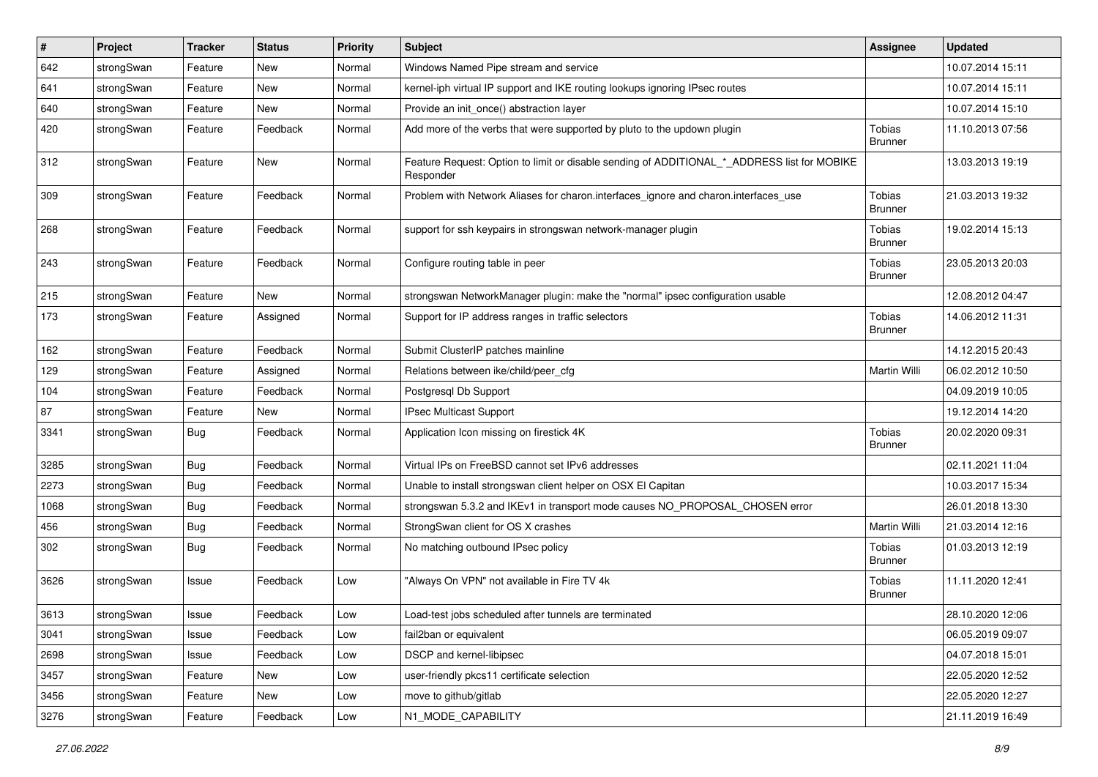| $\vert$ # | Project    | <b>Tracker</b> | <b>Status</b> | Priority | Subject                                                                                                  | <b>Assignee</b>                 | <b>Updated</b>   |
|-----------|------------|----------------|---------------|----------|----------------------------------------------------------------------------------------------------------|---------------------------------|------------------|
| 642       | strongSwan | Feature        | New           | Normal   | Windows Named Pipe stream and service                                                                    |                                 | 10.07.2014 15:11 |
| 641       | strongSwan | Feature        | <b>New</b>    | Normal   | kernel-iph virtual IP support and IKE routing lookups ignoring IPsec routes                              |                                 | 10.07.2014 15:11 |
| 640       | strongSwan | Feature        | New           | Normal   | Provide an init_once() abstraction layer                                                                 |                                 | 10.07.2014 15:10 |
| 420       | strongSwan | Feature        | Feedback      | Normal   | Add more of the verbs that were supported by pluto to the updown plugin                                  | <b>Tobias</b><br><b>Brunner</b> | 11.10.2013 07:56 |
| 312       | strongSwan | Feature        | <b>New</b>    | Normal   | Feature Request: Option to limit or disable sending of ADDITIONAL_*_ADDRESS list for MOBIKE<br>Responder |                                 | 13.03.2013 19:19 |
| 309       | strongSwan | Feature        | Feedback      | Normal   | Problem with Network Aliases for charon.interfaces_ignore and charon.interfaces_use                      | <b>Tobias</b><br><b>Brunner</b> | 21.03.2013 19:32 |
| 268       | strongSwan | Feature        | Feedback      | Normal   | support for ssh keypairs in strongswan network-manager plugin                                            | <b>Tobias</b><br><b>Brunner</b> | 19.02.2014 15:13 |
| 243       | strongSwan | Feature        | Feedback      | Normal   | Configure routing table in peer                                                                          | <b>Tobias</b><br><b>Brunner</b> | 23.05.2013 20:03 |
| 215       | strongSwan | Feature        | <b>New</b>    | Normal   | strongswan NetworkManager plugin: make the "normal" ipsec configuration usable                           |                                 | 12.08.2012 04:47 |
| 173       | strongSwan | Feature        | Assigned      | Normal   | Support for IP address ranges in traffic selectors                                                       | <b>Tobias</b><br><b>Brunner</b> | 14.06.2012 11:31 |
| 162       | strongSwan | Feature        | Feedback      | Normal   | Submit ClusterIP patches mainline                                                                        |                                 | 14.12.2015 20:43 |
| 129       | strongSwan | Feature        | Assigned      | Normal   | Relations between ike/child/peer_cfg                                                                     | Martin Willi                    | 06.02.2012 10:50 |
| 104       | strongSwan | Feature        | Feedback      | Normal   | Postgresgl Db Support                                                                                    |                                 | 04.09.2019 10:05 |
| 87        | strongSwan | Feature        | New           | Normal   | <b>IPsec Multicast Support</b>                                                                           |                                 | 19.12.2014 14:20 |
| 3341      | strongSwan | <b>Bug</b>     | Feedback      | Normal   | Application Icon missing on firestick 4K                                                                 | <b>Tobias</b><br><b>Brunner</b> | 20.02.2020 09:31 |
| 3285      | strongSwan | <b>Bug</b>     | Feedback      | Normal   | Virtual IPs on FreeBSD cannot set IPv6 addresses                                                         |                                 | 02.11.2021 11:04 |
| 2273      | strongSwan | <b>Bug</b>     | Feedback      | Normal   | Unable to install strongswan client helper on OSX El Capitan                                             |                                 | 10.03.2017 15:34 |
| 1068      | strongSwan | <b>Bug</b>     | Feedback      | Normal   | strongswan 5.3.2 and IKEv1 in transport mode causes NO_PROPOSAL_CHOSEN error                             |                                 | 26.01.2018 13:30 |
| 456       | strongSwan | <b>Bug</b>     | Feedback      | Normal   | StrongSwan client for OS X crashes                                                                       | Martin Willi                    | 21.03.2014 12:16 |
| 302       | strongSwan | Bug            | Feedback      | Normal   | No matching outbound IPsec policy                                                                        | <b>Tobias</b><br><b>Brunner</b> | 01.03.2013 12:19 |
| 3626      | strongSwan | Issue          | Feedback      | Low      | "Always On VPN" not available in Fire TV 4k                                                              | <b>Tobias</b><br><b>Brunner</b> | 11.11.2020 12:41 |
| 3613      | strongSwan | Issue          | Feedback      | Low      | Load-test jobs scheduled after tunnels are terminated                                                    |                                 | 28.10.2020 12:06 |
| 3041      | strongSwan | Issue          | Feedback      | Low      | fail2ban or equivalent                                                                                   |                                 | 06.05.2019 09:07 |
| 2698      | strongSwan | Issue          | Feedback      | Low      | DSCP and kernel-libipsec                                                                                 |                                 | 04.07.2018 15:01 |
| 3457      | strongSwan | Feature        | New           | Low      | user-friendly pkcs11 certificate selection                                                               |                                 | 22.05.2020 12:52 |
| 3456      | strongSwan | Feature        | New           | Low      | move to github/gitlab                                                                                    |                                 | 22.05.2020 12:27 |
| 3276      | strongSwan | Feature        | Feedback      | Low      | N1_MODE_CAPABILITY                                                                                       |                                 | 21.11.2019 16:49 |